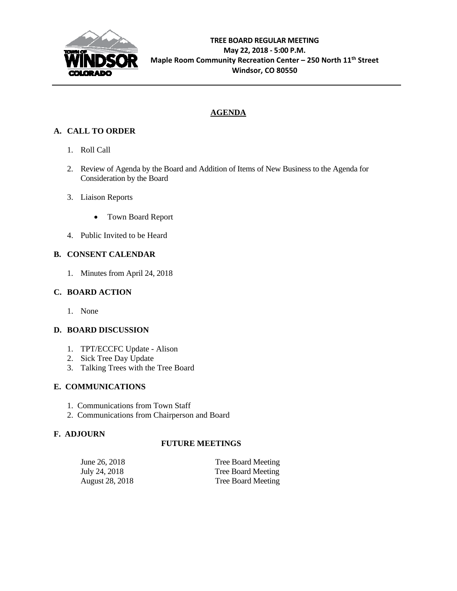

# **AGENDA**

# **A. CALL TO ORDER**

- 1. Roll Call
- 2. Review of Agenda by the Board and Addition of Items of New Business to the Agenda for Consideration by the Board
- 3. Liaison Reports
	- Town Board Report
- 4. Public Invited to be Heard

## **B. CONSENT CALENDAR**

1. Minutes from April 24, 2018

## **C. BOARD ACTION**

1. None

## **D. BOARD DISCUSSION**

- 1. TPT/ECCFC Update Alison
- 2. Sick Tree Day Update
- 3. Talking Trees with the Tree Board

## **E. COMMUNICATIONS**

- 1. Communications from Town Staff
- 2. Communications from Chairperson and Board

## **F. ADJOURN**

## **FUTURE MEETINGS**

| June 26, 2018          | <b>Tree Board Meeting</b> |
|------------------------|---------------------------|
| July 24, 2018          | Tree Board Meeting        |
| <b>August 28, 2018</b> | Tree Board Meeting        |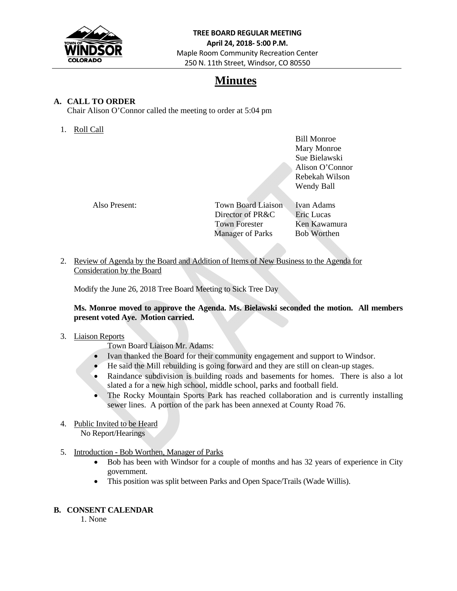

# **Minutes**

## **A. CALL TO ORDER**

Chair Alison O'Connor called the meeting to order at 5:04 pm

1. Roll Call

 Bill Monroe Mary Monroe Sue Bielawski Alison O'Connor Rebekah Wilson Wendy Ball

| Also Present: | Town Board Liaison      | Ivan Adams         |
|---------------|-------------------------|--------------------|
|               | Director of PR&C        | <b>Eric Lucas</b>  |
|               | <b>Town Forester</b>    | Ken Kawamura       |
|               | <b>Manager of Parks</b> | <b>Bob Worthen</b> |

2. Review of Agenda by the Board and Addition of Items of New Business to the Agenda for Consideration by the Board

Modify the June 26, 2018 Tree Board Meeting to Sick Tree Day

### **Ms. Monroe moved to approve the Agenda. Ms. Bielawski seconded the motion. All members present voted Aye. Motion carried.**

### 3. Liaison Reports

Town Board Liaison Mr. Adams:

- Ivan thanked the Board for their community engagement and support to Windsor.
- He said the Mill rebuilding is going forward and they are still on clean-up stages.
- Raindance subdivision is building roads and basements for homes. There is also a lot slated a for a new high school, middle school, parks and football field.
- The Rocky Mountain Sports Park has reached collaboration and is currently installing sewer lines. A portion of the park has been annexed at County Road 76.
- 4. Public Invited to be Heard No Report/Hearings
- 5. Introduction Bob Worthen, Manager of Parks
	- Bob has been with Windsor for a couple of months and has 32 years of experience in City government.
	- This position was split between Parks and Open Space/Trails (Wade Willis).

### **B. CONSENT CALENDAR**

1. None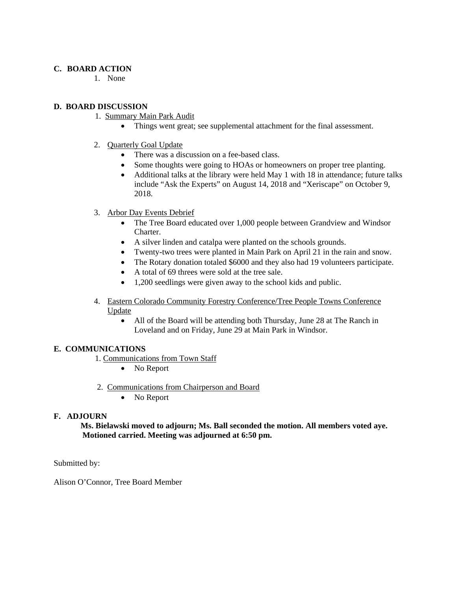#### **C. BOARD ACTION**

1. None

### **D. BOARD DISCUSSION**

- 1. Summary Main Park Audit
	- Things went great; see supplemental attachment for the final assessment.
- 2. Quarterly Goal Update
	- There was a discussion on a fee-based class.
	- Some thoughts were going to HOAs or homeowners on proper tree planting.
	- Additional talks at the library were held May 1 with 18 in attendance; future talks include "Ask the Experts" on August 14, 2018 and "Xeriscape" on October 9, 2018.
- 3. Arbor Day Events Debrief
	- The Tree Board educated over 1,000 people between Grandview and Windsor Charter.
	- A silver linden and catalpa were planted on the schools grounds.
	- Twenty-two trees were planted in Main Park on April 21 in the rain and snow.
	- The Rotary donation totaled \$6000 and they also had 19 volunteers participate.
	- A total of 69 threes were sold at the tree sale.
	- 1,200 seedlings were given away to the school kids and public.
- 4. Eastern Colorado Community Forestry Conference/Tree People Towns Conference Update
	- All of the Board will be attending both Thursday, June 28 at The Ranch in Loveland and on Friday, June 29 at Main Park in Windsor.

#### **E. COMMUNICATIONS**

- 1. Communications from Town Staff
	- No Report
- 2. Communications from Chairperson and Board
	- No Report

#### **F. ADJOURN**

 **Ms. Bielawski moved to adjourn; Ms. Ball seconded the motion. All members voted aye. Motioned carried. Meeting was adjourned at 6:50 pm.** 

Submitted by:

Alison O'Connor, Tree Board Member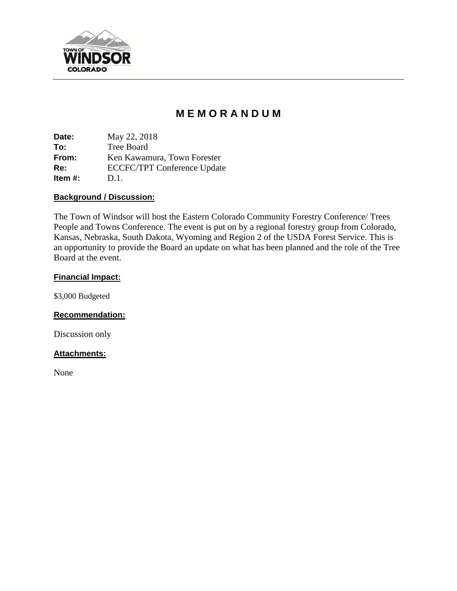

# **M E M O R A N D U M**

**Date:** May 22, 2018 **To:** Tree Board **From:** Ken Kawamura, Town Forester **Re:** ECCFC/TPT Conference Update **Item #:** D.1.

### **Background / Discussion:**

The Town of Windsor will host the Eastern Colorado Community Forestry Conference/ Trees People and Towns Conference. The event is put on by a regional forestry group from Colorado, Kansas, Nebraska, South Dakota, Wyoming and Region 2 of the USDA Forest Service. This is an opportunity to provide the Board an update on what has been planned and the role of the Tree Board at the event.

### **Financial Impact:**

\$3,000 Budgeted

## **Recommendation:**

Discussion only

### **Attachments:**

None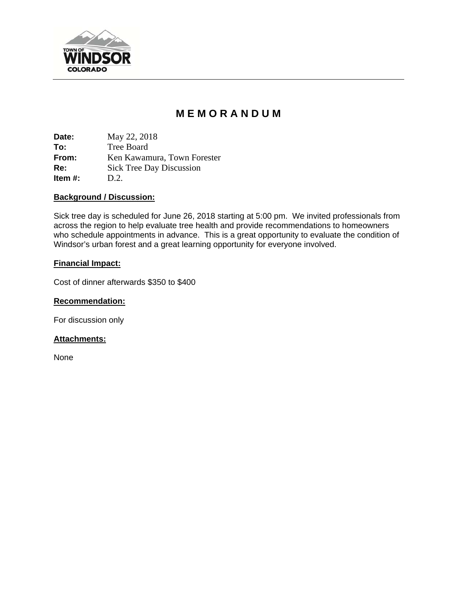

# **M E M O R A N D U M**

**Date:** May 22, 2018 **To:** Tree Board **From:** Ken Kawamura, Town Forester **Re:** Sick Tree Day Discussion **Item #:** D.2.

### **Background / Discussion:**

Sick tree day is scheduled for June 26, 2018 starting at 5:00 pm. We invited professionals from across the region to help evaluate tree health and provide recommendations to homeowners who schedule appointments in advance. This is a great opportunity to evaluate the condition of Windsor's urban forest and a great learning opportunity for everyone involved.

### **Financial Impact:**

Cost of dinner afterwards \$350 to \$400

## **Recommendation:**

For discussion only

## **Attachments:**

None